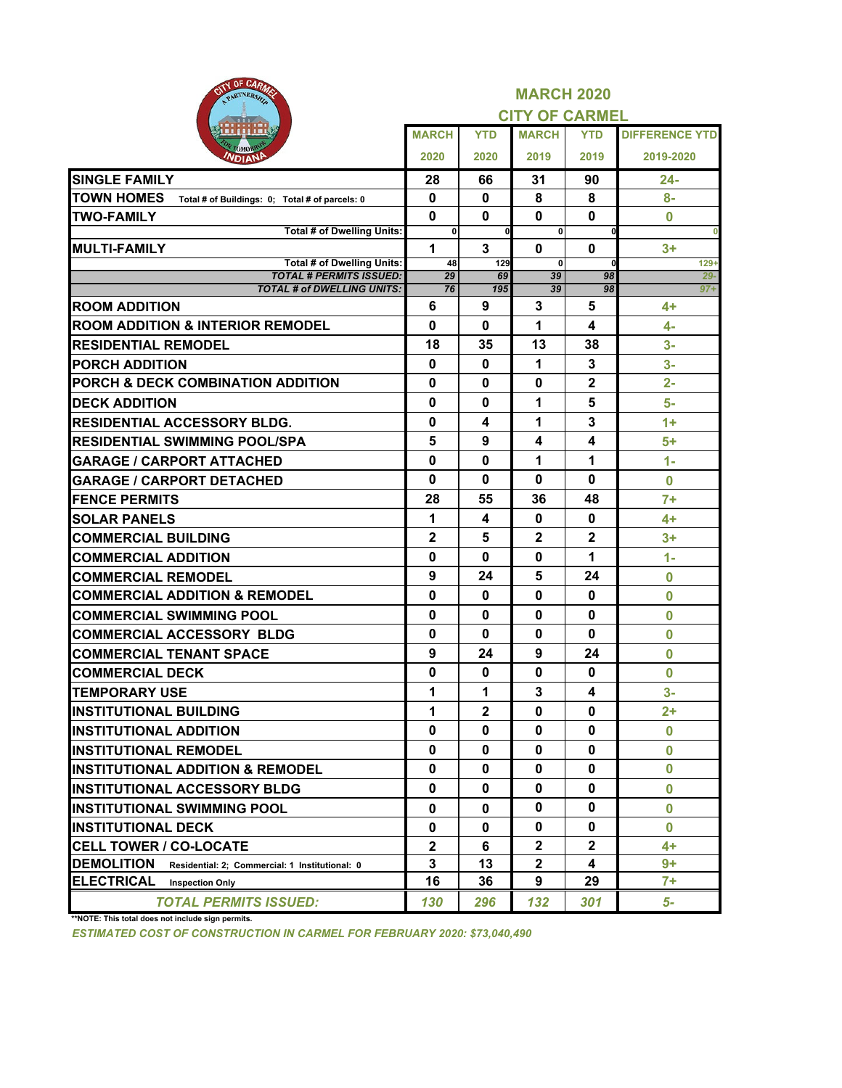| BULL<br><b>OF ORIGINAS</b><br>PARTNERSHIP                           |              |              | <b>MARCH 2020</b>     |              |                       |
|---------------------------------------------------------------------|--------------|--------------|-----------------------|--------------|-----------------------|
|                                                                     |              |              | <b>CITY OF CARMEL</b> |              |                       |
|                                                                     | <b>MARCH</b> | <b>YTD</b>   | <b>MARCH</b>          | <b>YTD</b>   | <b>DIFFERENCE YTD</b> |
| омо<br><b>NDIANE</b>                                                | 2020         | 2020         | 2019                  | 2019         | 2019-2020             |
| <b>SINGLE FAMILY</b>                                                | 28           | 66           | 31                    | 90           | 24-                   |
| <b>TOWN HOMES</b><br>Total # of Buildings: 0; Total # of parcels: 0 | 0            | 0            | 8                     | 8            | $8-$                  |
| <b>TWO-FAMILY</b>                                                   | 0            | 0            | $\mathbf{0}$          | $\mathbf 0$  | $\bf{0}$              |
| Total # of Dwelling Units:                                          | 0            | $\mathbf{0}$ | $\mathbf{0}$          | $\mathbf 0$  |                       |
| <b>MULTI-FAMILY</b>                                                 | 1            | 3            | 0                     | 0            | $3+$                  |
| Total # of Dwelling Units:<br><b>TOTAL # PERMITS ISSUED:</b>        | 48<br>29     | 129<br>69    | 0<br>39               | 98           | $129+$<br>$29 -$      |
| <b>TOTAL # of DWELLING UNITS:</b>                                   | 76           | 195          | 39                    | 98           | $97 +$                |
| <b>ROOM ADDITION</b>                                                | 6            | 9            | 3                     | 5            | 4+                    |
| <b>ROOM ADDITION &amp; INTERIOR REMODEL</b>                         | 0            | 0            | 1                     | 4            | 4-                    |
| <b>RESIDENTIAL REMODEL</b>                                          | 18           | 35           | 13                    | 38           | $3-$                  |
| <b>PORCH ADDITION</b>                                               | 0            | $\mathbf 0$  | 1                     | 3            | $3-$                  |
| <b>PORCH &amp; DECK COMBINATION ADDITION</b>                        | 0            | 0            | $\mathbf{0}$          | 2            | $2-$                  |
| <b>DECK ADDITION</b>                                                | 0            | 0            | 1                     | 5            | 5-                    |
| <b>RESIDENTIAL ACCESSORY BLDG.</b>                                  | 0            | 4            | 1                     | 3            | $1+$                  |
| <b>RESIDENTIAL SWIMMING POOL/SPA</b>                                | 5            | 9            | 4                     | 4            | 5+                    |
| <b>GARAGE / CARPORT ATTACHED</b>                                    | 0            | 0            | 1                     | 1            | $1 -$                 |
| <b>GARAGE / CARPORT DETACHED</b>                                    | 0            | 0            | 0                     | 0            | $\bf{0}$              |
| <b>FENCE PERMITS</b>                                                | 28           | 55           | 36                    | 48           | $7+$                  |
| <b>SOLAR PANELS</b>                                                 | 1            | 4            | 0                     | 0            | $4+$                  |
| <b>COMMERCIAL BUILDING</b>                                          | $\mathbf 2$  | 5            | $\mathbf 2$           | 2            | $3+$                  |
| <b>COMMERCIAL ADDITION</b>                                          | 0            | 0            | $\mathbf 0$           | 1            | $1 -$                 |
| <b>COMMERCIAL REMODEL</b>                                           | 9            | 24           | 5                     | 24           | $\bf{0}$              |
| <b>COMMERCIAL ADDITION &amp; REMODEL</b>                            | 0            | 0            | $\mathbf{0}$          | 0            | $\bf{0}$              |
| <b>COMMERCIAL SWIMMING POOL</b>                                     | 0            | $\mathbf 0$  | $\mathbf{0}$          | $\mathbf 0$  | $\bf{0}$              |
| <b>COMMERCIAL ACCESSORY BLDG</b>                                    | 0            | 0            | $\mathbf{0}$          | 0            | $\bf{0}$              |
| <b>COMMERCIAL TENANT SPACE</b>                                      | 9            | 24           | 9                     | 24           | $\bf{0}$              |
| <b>COMMERCIAL DECK</b>                                              | 0            | 0            | 0                     | 0            | $\bf{0}$              |
| <b>TEMPORARY USE</b>                                                | 1            | 1            | 3                     | 4            | $3-$                  |
| <b>INSTITUTIONAL BUILDING</b>                                       | 1            | $\mathbf{2}$ | 0                     | 0            | $2+$                  |
| <b>INSTITUTIONAL ADDITION</b>                                       | 0            | 0            | 0                     | 0            | 0                     |
| <b>INSTITUTIONAL REMODEL</b>                                        | 0            | 0            | $\mathbf{0}$          | $\mathbf{0}$ | $\mathbf{0}$          |
| <b>INSTITUTIONAL ADDITION &amp; REMODEL</b>                         | $\mathbf{0}$ | $\mathbf 0$  | $\mathbf 0$           | 0            | $\bf{0}$              |
| <b>INSTITUTIONAL ACCESSORY BLDG</b>                                 | 0            | 0            | $\mathbf 0$           | 0            | $\bf{0}$              |
| <b>INSTITUTIONAL SWIMMING POOL</b>                                  | 0            | 0            | $\mathbf 0$           | 0            | $\bf{0}$              |
| <b>INSTITUTIONAL DECK</b>                                           | 0            | 0            | 0                     | 0            | $\bf{0}$              |
| <b>CELL TOWER / CO-LOCATE</b>                                       | $\mathbf 2$  | 6            | $\mathbf{2}$          | $\mathbf 2$  | 4+                    |
| <b>DEMOLITION</b><br>Residential: 2; Commercial: 1 Institutional: 0 | 3            | 13           | $\mathbf 2$           | 4            | $9+$                  |
| ELECTRICAL<br><b>Inspection Only</b>                                | 16           | 36           | 9                     | 29           | $7+$                  |
| <b>TOTAL PERMITS ISSUED:</b><br>$4410777$ $71.7$                    | 130          | 296          | 132                   | 301          | 5-                    |

**\*\*NOTE: This total does not include sign permits.**

*ESTIMATED COST OF CONSTRUCTION IN CARMEL FOR FEBRUARY 2020: \$73,040,490*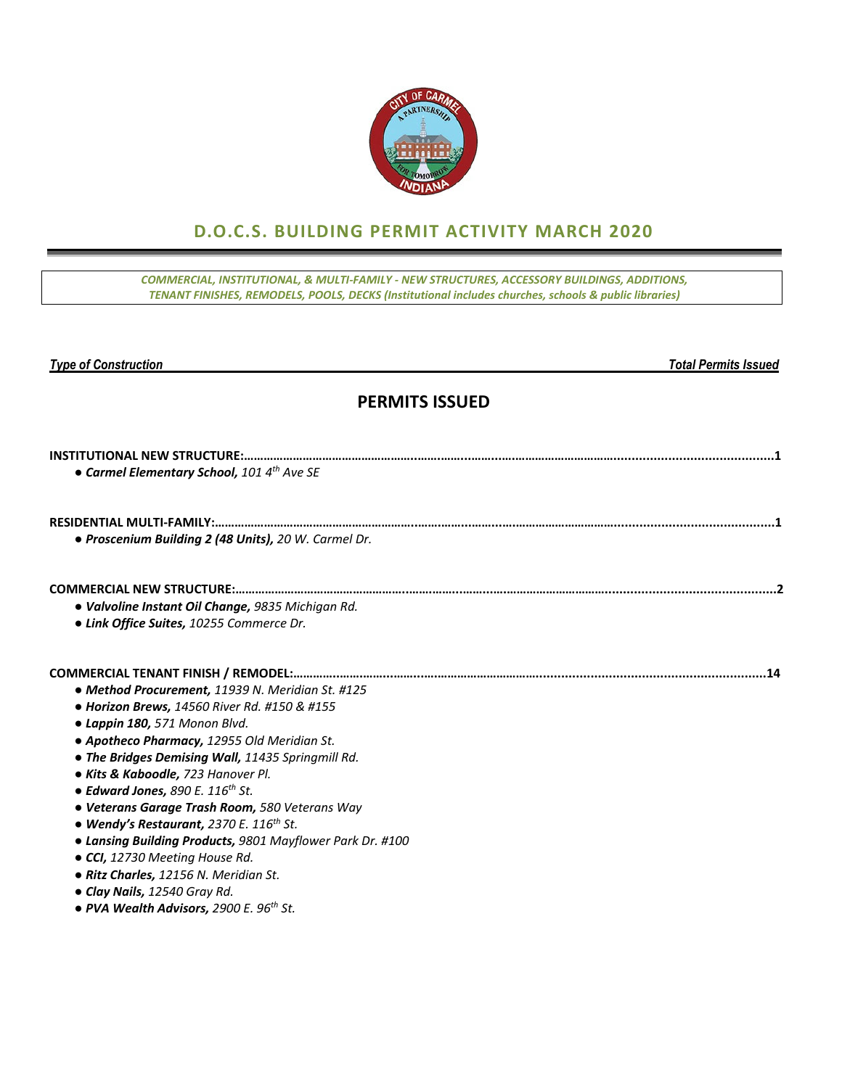

# **D.O.C.S. BUILDING PERMIT ACTIVITY MARCH 2020**

*COMMERCIAL, INSTITUTIONAL, & MULTI‐FAMILY ‐ NEW STRUCTURES, ACCESSORY BUILDINGS, ADDITIONS, TENANT FINISHES, REMODELS, POOLS, DECKS (Institutional includes churches, schools & public libraries)*

*Type of Construction Total Permits Issued* 

### **PERMITS ISSUED**

| • Carmel Elementary School, 101 4th Ave SE                |     |
|-----------------------------------------------------------|-----|
|                                                           |     |
|                                                           |     |
| · Proscenium Building 2 (48 Units), 20 W. Carmel Dr.      |     |
|                                                           |     |
| • Valvoline Instant Oil Change, 9835 Michigan Rd.         |     |
| • Link Office Suites, 10255 Commerce Dr.                  |     |
|                                                           | .14 |
| • Method Procurement, 11939 N. Meridian St. #125          |     |
| • Horizon Brews, 14560 River Rd. #150 & #155              |     |
| • Lappin 180, 571 Monon Blvd.                             |     |
| • Apotheco Pharmacy, 12955 Old Meridian St.               |     |
| • The Bridges Demising Wall, 11435 Springmill Rd.         |     |
| • Kits & Kaboodle, 723 Hanover Pl.                        |     |
| • Edward Jones, 890 E. 116 <sup>th</sup> St.              |     |
| · Veterans Garage Trash Room, 580 Veterans Way            |     |
| • Wendy's Restaurant, 2370 E. 116 <sup>th</sup> St.       |     |
| • Lansing Building Products, 9801 Mayflower Park Dr. #100 |     |
| • CCI, 12730 Meeting House Rd.                            |     |
| • Ritz Charles, 12156 N. Meridian St.                     |     |
| • Clay Nails, 12540 Gray Rd.                              |     |
| • PVA Wealth Advisors, 2900 E. 96 <sup>th</sup> St.       |     |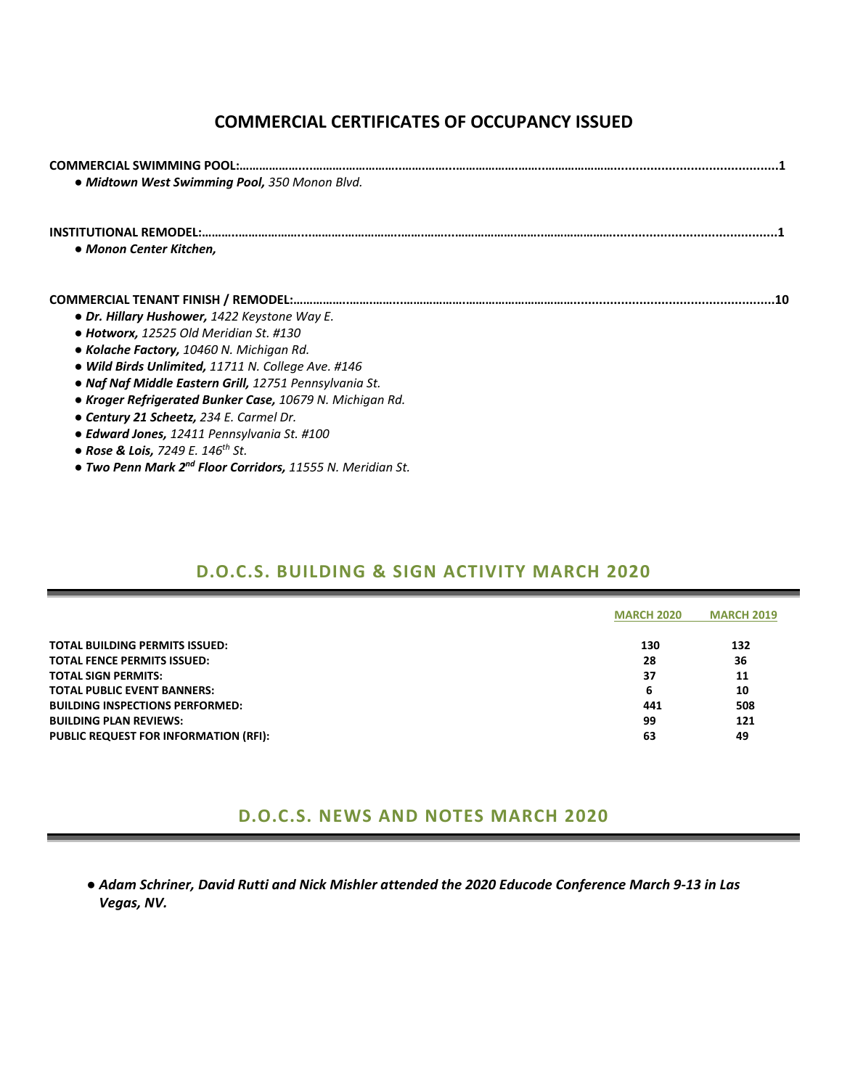# **COMMERCIAL CERTIFICATES OF OCCUPANCY ISSUED**

| <b>COMMERCIAL SWIMMING POOL:.</b><br>· Midtown West Swimming Pool, 350 Monon Blvd. |
|------------------------------------------------------------------------------------|
|                                                                                    |
| • Monon Center Kitchen,                                                            |
|                                                                                    |
| • Dr. Hillary Hushower, 1422 Keystone Way E.                                       |
| $\bullet$ Hotworx, 12525 Old Meridian St. #130                                     |
| • Kolache Factory, 10460 N. Michigan Rd.                                           |
| • Wild Birds Unlimited, 11711 N. College Ave. #146                                 |
| • Naf Naf Middle Eastern Grill, 12751 Pennsylvania St.                             |
| • Kroger Refrigerated Bunker Case, 10679 N. Michigan Rd.                           |
| • Century 21 Scheetz, 234 E. Carmel Dr.                                            |
| • Edward Jones, 12411 Pennsylvania St. #100                                        |
| • Rose & Lois, 7249 E. 146 <sup>th</sup> St.                                       |

*● Two Penn Mark 2nd Floor Corridors, 11555 N. Meridian St.*

### **D.O.C.S. BUILDING & SIGN ACTIVITY MARCH 2020**

|                                              | <b>MARCH 2020</b> | <b>MARCH 2019</b> |  |
|----------------------------------------------|-------------------|-------------------|--|
|                                              |                   |                   |  |
| TOTAL BUILDING PERMITS ISSUED:               | 130               | 132               |  |
| TOTAL FENCE PERMITS ISSUED:                  | 28                | 36                |  |
| TOTAL SIGN PERMITS:                          | 37                | 11                |  |
| TOTAL PUBLIC EVENT BANNERS:                  | 6                 | 10                |  |
| <b>BUILDING INSPECTIONS PERFORMED:</b>       | 441               | 508               |  |
| BUILDING PLAN REVIEWS:                       | 99                | 121               |  |
| <b>PUBLIC REQUEST FOR INFORMATION (RFI):</b> | 63                | 49                |  |
|                                              |                   |                   |  |

### **D.O.C.S. NEWS AND NOTES MARCH 2020**

. Adam Schriner, David Rutti and Nick Mishler attended the 2020 Educode Conference March 9-13 in Las *Vegas, NV.*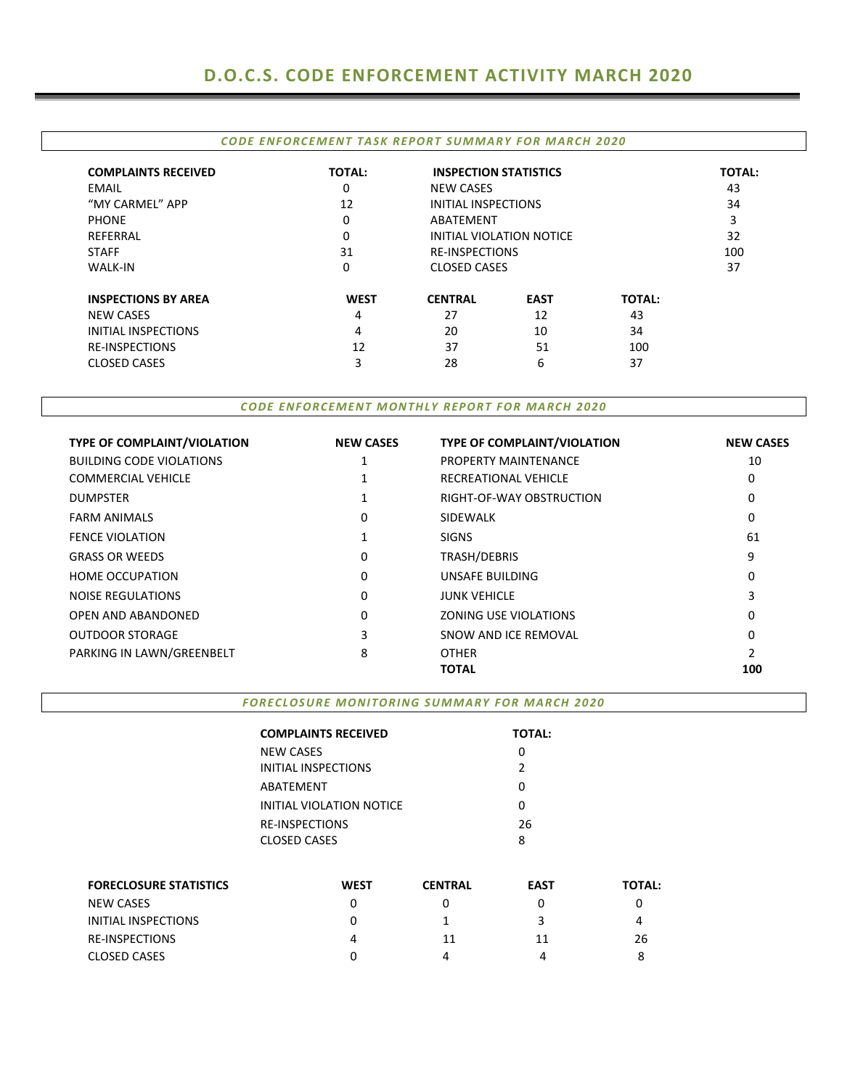|                            | <b>CODE ENFORCEMENT TASK REPORT SUMMARY FOR MARCH 2020</b> |                              |                          |               |               |  |
|----------------------------|------------------------------------------------------------|------------------------------|--------------------------|---------------|---------------|--|
| <b>COMPLAINTS RECEIVED</b> | <b>TOTAL:</b>                                              | <b>INSPECTION STATISTICS</b> |                          |               | <b>TOTAL:</b> |  |
| EMAIL                      | 0                                                          | <b>NEW CASES</b>             |                          |               | 43            |  |
| "MY CARMEL" APP            | 12                                                         | INITIAL INSPECTIONS          |                          |               | 34            |  |
| <b>PHONE</b>               | 0                                                          | ABATEMENT                    |                          |               | 3             |  |
| REFERRAL                   | 0                                                          |                              | INITIAL VIOLATION NOTICE |               | 32            |  |
| <b>STAFF</b>               | 31                                                         | <b>RE-INSPECTIONS</b>        | 100                      |               |               |  |
| <b>WALK-IN</b>             | 0                                                          | <b>CLOSED CASES</b>          |                          |               | 37            |  |
| <b>INSPECTIONS BY AREA</b> | <b>WEST</b>                                                | <b>CENTRAL</b>               | <b>EAST</b>              | <b>TOTAL:</b> |               |  |
| <b>NEW CASES</b>           | 4                                                          | 27                           | 12                       | 43            |               |  |
| INITIAL INSPECTIONS        | 4                                                          | 20                           | 10                       | 34            |               |  |
| <b>RE-INSPECTIONS</b>      | 12                                                         | 37                           | 51                       | 100           |               |  |
| <b>CLOSED CASES</b>        | 3                                                          | 28                           | 6                        | 37            |               |  |
|                            |                                                            |                              |                          |               |               |  |

#### *CODE ENFORCEMENT MONTHLY REPORT FOR MARCH 2020*

| <b>TYPE OF COMPLAINT/VIOLATION</b> | <b>NEW CASES</b> | <b>TYPE OF COMPLAINT/VIOLATION</b> | <b>NEW CASES</b> |
|------------------------------------|------------------|------------------------------------|------------------|
| <b>BUILDING CODE VIOLATIONS</b>    |                  | <b>PROPERTY MAINTENANCE</b>        | 10               |
| <b>COMMERCIAL VEHICLE</b>          |                  | RECREATIONAL VEHICLE               | 0                |
| <b>DUMPSTER</b>                    |                  | RIGHT-OF-WAY OBSTRUCTION           | 0                |
| <b>FARM ANIMALS</b>                | 0                | <b>SIDEWALK</b>                    | 0                |
| <b>FENCE VIOLATION</b>             |                  | <b>SIGNS</b>                       | 61               |
| <b>GRASS OR WEEDS</b>              | 0                | TRASH/DEBRIS                       | 9                |
| <b>HOME OCCUPATION</b>             | 0                | UNSAFE BUILDING                    | 0                |
| <b>NOISE REGULATIONS</b>           | 0                | <b>JUNK VEHICLE</b>                | 3                |
| OPEN AND ABANDONED                 | 0                | <b>ZONING USE VIOLATIONS</b>       | 0                |
| <b>OUTDOOR STORAGE</b>             | 3                | SNOW AND ICE REMOVAL               | 0                |
| PARKING IN LAWN/GREENBELT          | 8                | <b>OTHER</b>                       | 2                |
|                                    |                  | <b>TOTAL</b>                       | 100              |

#### *FORECLOSURE MONITORING SUMMARY FOR MARCH 2020*

|                               | <b>COMPLAINTS RECEIVED</b> |                | <b>TOTAL:</b> |               |
|-------------------------------|----------------------------|----------------|---------------|---------------|
|                               | <b>NEW CASES</b>           |                | 0             |               |
|                               | <b>INITIAL INSPECTIONS</b> |                |               |               |
|                               | ABATEMENT                  |                | 0             |               |
|                               | INITIAL VIOLATION NOTICE   |                | 0             |               |
|                               | <b>RE-INSPECTIONS</b>      |                | 26            |               |
|                               | <b>CLOSED CASES</b>        |                | 8             |               |
| <b>FORECLOSURE STATISTICS</b> | <b>WEST</b>                | <b>CENTRAL</b> | <b>EAST</b>   | <b>TOTAL:</b> |
| <b>NEW CASES</b>              | 0                          | 0              | 0             | 0             |
| <b>INITIAL INSPECTIONS</b>    | 0                          |                | 3             | 4             |
| <b>RE-INSPECTIONS</b>         | 4                          | 11             | 11            | 26            |
| <b>CLOSED CASES</b>           | 0                          | 4              | 4             | 8             |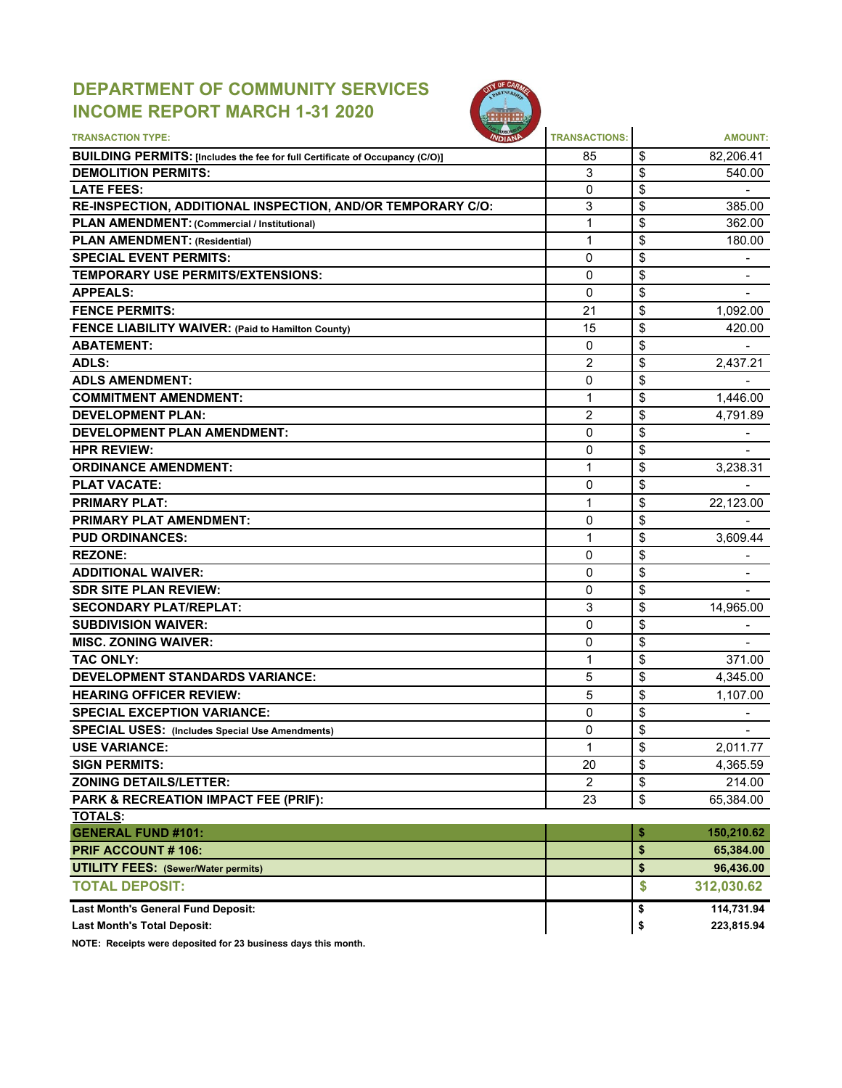# **DEPARTMENT OF COMMUNITY SERVICES INCOME REPORT MARCH 1-31 2020**



| <b>TRANSACTION TYPE:</b>                                                                                          | <b>TRANSACTIONS:</b> | <b>AMOUNT:</b>       |
|-------------------------------------------------------------------------------------------------------------------|----------------------|----------------------|
|                                                                                                                   | 85                   | \$<br>82,206.41      |
| <b>BUILDING PERMITS: [Includes the fee for full Certificate of Occupancy (C/O)]</b><br><b>DEMOLITION PERMITS:</b> | 3                    | \$<br>540.00         |
| <b>LATE FEES:</b>                                                                                                 | $\mathbf{0}$         | \$                   |
| RE-INSPECTION, ADDITIONAL INSPECTION, AND/OR TEMPORARY C/O:                                                       | 3                    | \$<br>385.00         |
| PLAN AMENDMENT: (Commercial / Institutional)                                                                      | $\mathbf{1}$         | \$<br>362.00         |
| <b>PLAN AMENDMENT: (Residential)</b>                                                                              | 1                    | \$<br>180.00         |
| <b>SPECIAL EVENT PERMITS:</b>                                                                                     | 0                    | \$<br>$\blacksquare$ |
| <b>TEMPORARY USE PERMITS/EXTENSIONS:</b>                                                                          | 0                    | \$                   |
| <b>APPEALS:</b>                                                                                                   | 0                    | \$                   |
| <b>FENCE PERMITS:</b>                                                                                             | 21                   | \$<br>1,092.00       |
| <b>FENCE LIABILITY WAIVER: (Paid to Hamilton County)</b>                                                          | 15                   | \$<br>420.00         |
| <b>ABATEMENT:</b>                                                                                                 | 0                    | \$                   |
| ADLS:                                                                                                             | $\overline{2}$       | \$<br>2,437.21       |
| <b>ADLS AMENDMENT:</b>                                                                                            | 0                    | \$                   |
| <b>COMMITMENT AMENDMENT:</b>                                                                                      | 1                    | \$<br>1,446.00       |
| <b>DEVELOPMENT PLAN:</b>                                                                                          | 2                    | \$<br>4,791.89       |
| <b>DEVELOPMENT PLAN AMENDMENT:</b>                                                                                | 0                    | \$                   |
| <b>HPR REVIEW:</b>                                                                                                | 0                    | \$                   |
| <b>ORDINANCE AMENDMENT:</b>                                                                                       | 1                    | \$<br>3,238.31       |
| <b>PLAT VACATE:</b>                                                                                               | 0                    | \$                   |
| <b>PRIMARY PLAT:</b>                                                                                              | 1                    | \$<br>22,123.00      |
| <b>PRIMARY PLAT AMENDMENT:</b>                                                                                    | $\mathbf{0}$         | \$                   |
|                                                                                                                   |                      |                      |
| <b>PUD ORDINANCES:</b>                                                                                            | 1                    | \$<br>3,609.44       |
| <b>REZONE:</b>                                                                                                    | 0                    | \$<br>$\blacksquare$ |
| <b>ADDITIONAL WAIVER:</b>                                                                                         | 0                    | \$                   |
| <b>SDR SITE PLAN REVIEW:</b>                                                                                      | 0                    | \$                   |
| <b>SECONDARY PLAT/REPLAT:</b>                                                                                     | 3                    | \$<br>14,965.00      |
| <b>SUBDIVISION WAIVER:</b>                                                                                        | 0                    | \$                   |
| <b>MISC. ZONING WAIVER:</b>                                                                                       | 0                    | \$                   |
| <b>TAC ONLY:</b>                                                                                                  | $\mathbf{1}$         | \$<br>371.00         |
| <b>DEVELOPMENT STANDARDS VARIANCE:</b>                                                                            | 5                    | \$<br>4,345.00       |
| <b>HEARING OFFICER REVIEW:</b>                                                                                    | 5                    | \$<br>1,107.00       |
| <b>SPECIAL EXCEPTION VARIANCE:</b>                                                                                | 0                    | \$                   |
| <b>SPECIAL USES: (Includes Special Use Amendments)</b>                                                            | 0                    | \$<br>$\blacksquare$ |
| <b>USE VARIANCE:</b>                                                                                              | 1                    | \$<br>2,011.77       |
| <b>SIGN PERMITS:</b>                                                                                              | 20                   | \$<br>4,365.59       |
| <b>ZONING DETAILS/LETTER:</b>                                                                                     | $\overline{2}$       | \$<br>214.00         |
| PARK & RECREATION IMPACT FEE (PRIF):                                                                              | 23                   | \$<br>65,384.00      |
| <b>TOTALS:</b>                                                                                                    |                      |                      |
| <b>GENERAL FUND #101:</b>                                                                                         |                      | \$<br>150,210.62     |
| <b>PRIF ACCOUNT #106:</b>                                                                                         |                      | \$<br>65,384.00      |
| <b>UTILITY FEES: (Sewer/Water permits)</b>                                                                        |                      | \$<br>96,436.00      |
| <b>TOTAL DEPOSIT:</b>                                                                                             |                      | \$<br>312,030.62     |
| Last Month's General Fund Deposit:                                                                                |                      | \$<br>114,731.94     |
| <b>Last Month's Total Deposit:</b>                                                                                |                      | \$<br>223,815.94     |

**NOTE: Receipts were deposited for 23 business days this month.**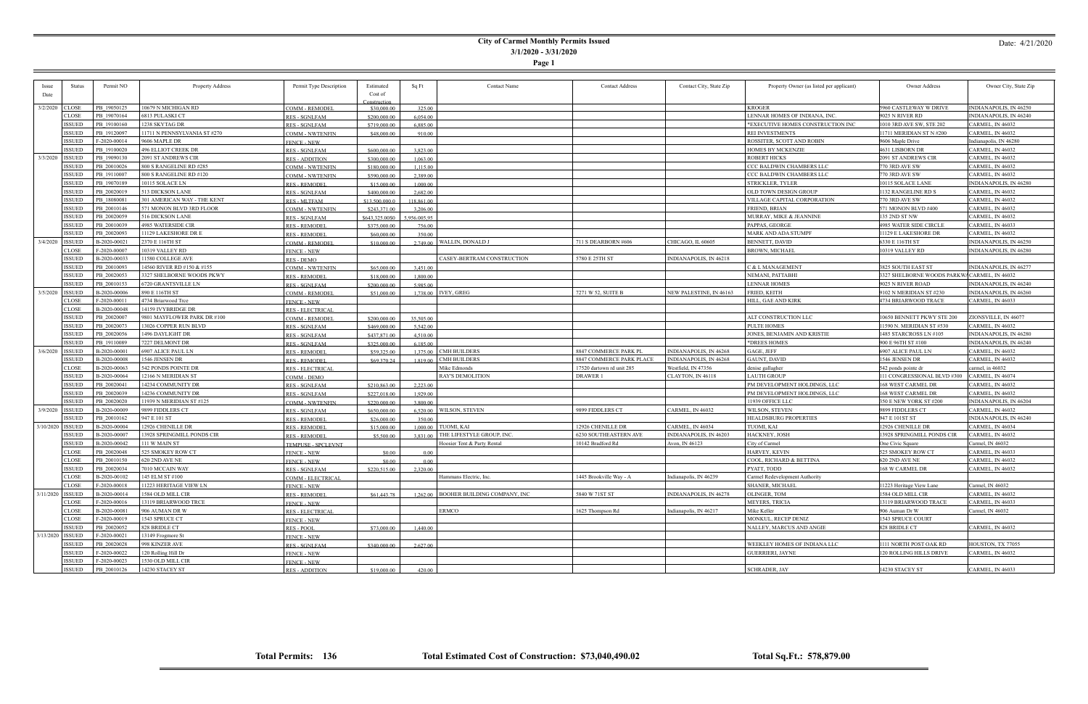#### **City of Carmel Monthly Permits Issued 3/1/2020 - 3/31/2020**

**Page 1**

| <i>ssue</i>        | <b>Status</b> | Permit NO    | Property Address                       | Permit Type Description                       | Estimated                    | Sq Ft                | <b>Contact Name</b>                    | <b>Contact Address</b>    | Contact City, State Zip | Property Owner (as listed per applicant) | Owner Address                             | Owner City, State Zip                            |
|--------------------|---------------|--------------|----------------------------------------|-----------------------------------------------|------------------------------|----------------------|----------------------------------------|---------------------------|-------------------------|------------------------------------------|-------------------------------------------|--------------------------------------------------|
| Date               |               |              |                                        |                                               | Cost of                      |                      |                                        |                           |                         |                                          |                                           |                                                  |
| 3/2/2020           | <b>CLOSE</b>  | PB 19050125  |                                        |                                               | Construction                 |                      |                                        |                           |                         | <b>KROGER</b>                            |                                           |                                                  |
|                    | CLOSE         | PB 19070164  | 10679 N MICHIGAN RD<br>6813 PULASKI CT | <b>COMM - REMODEL</b>                         | \$30,000.00                  | 325.00               |                                        |                           |                         | LENNAR HOMES OF INDIANA, INC.            | 5960 CASTLEWAY W DRIVE<br>9025 N RIVER RD | INDIANAPOLIS, IN 46250<br>INDIANAPOLIS, IN 46240 |
|                    | <b>ISSUED</b> | PB 19100160  | 1238 SKYTAG DR                         | <b>RES - SGNLFAM</b>                          | \$200,000.00                 | 6.054.00             |                                        |                           |                         | *EXECUTIVE HOMES CONSTRUCTION INC        | 010 3RD AVE SW, STE 202                   | ARMEL, IN 46032                                  |
|                    | <b>ISSUED</b> | PB 19120097  | 11711 N PENNSYLVANIA ST #270           | <b>RES - SGNLFAM</b>                          | \$719,000.00                 | 6,885.00             |                                        |                           |                         | REI INVESTMENTS                          | 11711 MERIDIAN ST N #200                  | 'ARMEL, IN 46032                                 |
|                    | <b>ISSUED</b> | F-2020-00014 | 9606 MAPLE DR                          | <u>COMM - NWTENFIN</u>                        | \$48,000.00                  | 910.00               |                                        |                           |                         | ROSSITER, SCOTT AND ROBIN                |                                           | Indianapolis, IN 46280                           |
|                    | <b>ISSUED</b> | PB 19100020  | <b>496 ELLIOT CREEK DR</b>             | <b>FENCE - NEW</b>                            |                              |                      |                                        |                           |                         | <b>HOMES BY MCKENZIE</b>                 | 9606 Maple Drive<br>4631 LISBORN DR       | CARMEL, IN 46032                                 |
| 3/3/2020           | ISSUED        | PB 19090130  | 2091 ST ANDREWS CIR                    | <b>RES - SGNLFAM</b>                          | \$600,000.00                 | 3.823.00             |                                        |                           |                         | <b>ROBERT HICKS</b>                      | 2091 ST ANDREWS CIR                       | CARMEL, IN 46032                                 |
|                    | <b>ISSUED</b> | PB 20010026  | 800 S RANGELINE RD #285                | <b>RES - ADDITION</b>                         | \$300,000.00<br>\$180,000.00 | 1.063.00             |                                        |                           |                         | CCC BALDWIN CHAMBERS LLC                 | 770 3RD AVE SW                            | CARMEL, IN 46032                                 |
|                    | ISSUED        | PB 19110007  | 800 S RANGELINE RD #120                | <b>COMM - NWTENFIN</b>                        | \$590,000.00                 | 1,115.00<br>2,389.00 |                                        |                           |                         | CCC BALDWIN CHAMBERS LLC                 | 770 3RD AVE SW                            | <b>ARMEL, IN 46032</b>                           |
|                    | ISSUED        | PB 19070189  | 10115 SOLACE LN                        | <b>COMM - NWTENFIN</b><br><b>RES - REMODI</b> | \$15,000.00                  | 1,000.00             |                                        |                           |                         | STRICKLER, TYLER                         | 10115 SOLACE LANE                         | <b>NDIANAPOLIS, IN 46280</b>                     |
|                    | <b>ISSUED</b> | PB 20020019  | 513 DICKSON LANE                       | <b>RES - SGNLFAM</b>                          | \$400,000.00                 | 2.682.00             |                                        |                           |                         | OLD TOWN DESIGN GROUP                    | 1132 RANGELINE RD S                       | CARMEL, IN 46032                                 |
|                    | <b>ISSUED</b> | PB 18080081  | 301 AMERICAN WAY - THE KENT            | RES - MLTFAM                                  | \$13,500,000.0               | 118,861.00           |                                        |                           |                         | VILLAGE CAPITAL CORPORATION              | 770 3RD AVE SW                            | CARMEL, IN 46032                                 |
|                    | <b>ISSUED</b> | PB 20010146  | 571 MONON BLVD 3RD FLOOR               | <b>COMM - NWTENFIN</b>                        | \$243,371.00                 | 3,206.00             |                                        |                           |                         | <b>FRIEND, BRIAN</b>                     | 571 MONON BLVD #400                       | CARMEL, IN 46032                                 |
|                    | <b>ISSUED</b> | PB 20020059  | 516 DICKSON LANE                       | <u>RES - SGNLFAM</u>                          | \$643,325.00\$0              | 956.005.95           |                                        |                           |                         | MURRAY, MIKE & JEANNINE                  | 135 2ND ST NW                             | ARMEL, IN 46032:                                 |
|                    | <b>ISSUED</b> | PB 20010039  | 4985 WATERSIDE CIR                     | <b>RES - REMODE</b>                           | \$375,000.00                 | 756.00               |                                        |                           |                         | PAPPAS, GEORGE                           | 4985 WATER SIDE CIRCLE                    | ARMEL, IN 46033                                  |
|                    | <b>ISSUED</b> | PB 20020093  | 11129 LAKESHORE DR E                   | RES - REMODE                                  | \$60,000.00                  | 350.00               |                                        |                           |                         | MARK AND ADA STUMPF                      | 11129 E LAKESHORE DR                      | ARMEL, IN 46032                                  |
| 3/4/2020           | <b>ISSUED</b> | B-2020-00021 | 2370 E 116TH ST                        | <b>COMM - REMODEL</b>                         | \$10,000.00                  |                      | 2,749.00 WALLIN, DONALD J              | 711 S DEARBORN #606       | CHICAGO, IL 60605       | BENNETT, DAVID                           | 6330 E 116TH ST                           | <b>NDIANAPOLIS, IN 46250</b>                     |
|                    | <b>CLOSE</b>  | F-2020-00007 | 10319 VALLEY RD                        | <b>FENCE - NEW</b>                            |                              |                      |                                        |                           |                         | <b>BROWN, MICHAEI</b>                    | 10319 VALLEY RD                           | INDIANAPOLIS, IN 46280                           |
|                    | <b>ISSUED</b> | B-2020-00033 | 11580 COLLEGE AVE                      | <b>RES - DEMO</b>                             |                              |                      | CASEY-BERTRAM CONSTRUCTION             | 5780 E 25TH ST            | INDIANAPOLIS, IN 46218  |                                          |                                           |                                                  |
|                    | <b>ISSUED</b> | PB 20010093  | 14560 RIVER RD #150 & #155             | <b>COMM - NWTENFIN</b>                        | \$65,000.00                  | 3,451.00             |                                        |                           |                         | C & L MANAGEMENT                         | 3825 SOUTH EAST ST                        | INDIANAPOLIS, IN 46277                           |
|                    | <b>ISSUED</b> | PB 20020053  | 3327 SHELBORNE WOODS PKWY              | <b>RES - REMODEI</b>                          | \$18,000.00                  | 1.800.00             |                                        |                           |                         | NEMANI, PATTABHI                         | 3327 SHELBORNE WOODS PARKW                | CARMEL, IN 46032                                 |
|                    | <b>ISSUED</b> | PB 20010153  | 6720 GRANTSVILLE LN                    | <b>RES - SGNLFAM</b>                          | \$200,000.00                 | 5,985.00             |                                        |                           |                         | <b>LENNAR HOMES</b>                      | 9025 N RIVER ROAD                         | <b>NDIANAPOLIS, IN 46240</b>                     |
| 3/5/2020           | <b>ISSUED</b> | B-2020-00006 | 890 E 116TH ST                         | <u>COMM - REMODEL</u>                         | \$51,000.00                  |                      | $1.738.00$   IVEY, GREG                | 7271 W 52, SUITE B        | NEW PALESTINE, IN 46163 | FRIED, KEITH                             | $9102$ N MERIDIAN ST #230                 | INDIANAPOLIS, IN 46260                           |
|                    | <b>CLOSE</b>  | F-2020-00011 | 4734 Briarwood Trce                    | <b>FENCE - NEW</b>                            |                              |                      |                                        |                           |                         | HILL, GAE AND KIRK                       | 4734 BRIARWOOD TRACE                      | CARMEL, IN 46033                                 |
|                    | <b>CLOSE</b>  | B-2020-00048 | 14159 IVYBRIDGE DR                     | <b>RES - ELECTRICAL</b>                       |                              |                      |                                        |                           |                         |                                          |                                           |                                                  |
|                    | <b>ISSUED</b> | PB 20020007  | 9801 MAYFLOWER PARK DR #100            | COMM - REMODEL                                | \$200,000.00                 | 35,505.00            |                                        |                           |                         | ALT CONSTRUCTION LLC                     | 10650 BENNETT PKWY STE 200                | IONSVILLE, IN 46077                              |
|                    | <b>ISSUED</b> | PB 20020073  | 13026 COPPER RUN BLVD                  | <b>RES - SGNLFAM</b>                          | \$469,000.00                 | 5.542.00             |                                        |                           |                         | <b>PULTE HOMES</b>                       | 11590 N. MERIDIAN ST #530                 | CARMEL, IN 46032                                 |
|                    | ISSUED        | PB 20020056  | 1496 DAYLIGHT DR                       | <b>RES - SGNLFAM</b>                          | \$437,871.00                 | 4,510.00             |                                        |                           |                         | JONES, BENJAMIN AND KRISTIE              | 1485 STARCROSS LN #105                    | INDIANAPOLIS, IN 46280                           |
|                    | <b>ISSUED</b> | PB 19110089  | 7227 DELMONT DR                        | <b>RES - SGNLFAM</b>                          | \$325,000.00                 | 6,185.00             |                                        |                           |                         | *DREES HOMES                             | 900 E 96TH ST #100                        | INDIANAPOLIS, IN 46240                           |
| 3/6/2020           | <b>ISSUED</b> | B-2020-00001 | 6907 ALICE PAUL LN                     | <b>RES - REMODE</b>                           | \$59,325.00                  |                      | $1.375.00$ CMH BUILDERS                | 8847 COMMERCE PARK PL     | INDIANAPOLIS, IN 46268  | GAGE, JEFF                               | 6907 ALICE PAUL LN                        | CARMEL, IN 46032                                 |
|                    | <b>ISSUED</b> | B-2020-00008 | 1546 JENSEN DR                         | <b>RES - REMODE</b>                           | \$69,370.24                  | 1,819.00             | <b>CMH BUILDERS</b>                    | 8847 COMMERCE PARK PLACE  | INDIANAPOLIS, IN 46268  | <b>GAUNT, DAVID</b>                      | 1546 JENSEN DR                            | CARMEL, IN 46032                                 |
|                    | <b>CLOSE</b>  | B-2020-00063 | 542 PONDS POINTE DR                    | <b>RES - ELECTRICAL</b>                       |                              |                      | Mike Edmonds                           | 17520 dartown rd unit 285 | Westfield, IN 47356     | denise gallagher                         | 542 ponds pointe dr                       | carmel, in 46032                                 |
|                    | <b>ISSUED</b> | B-2020-00064 | 12166 N MERIDIAN ST                    | COMM - DEMO                                   |                              |                      | RAY'S DEMOLITION                       | <b>DRAWER 1</b>           | CLAYTON, IN 46118       | <b>LAUTH GROUP</b>                       | 111 CONGRESSIONAL BLVD #300               | CARMEL, IN 46074                                 |
|                    | <b>ISSUED</b> | PB 20020041  | 14234 COMMUNITY DR                     | <b>RES - SGNLFAM</b>                          | \$210,863.00                 | 2,223.00             |                                        |                           |                         | PM DEVELOPMENT HOLDINGS, LLC             | 168 WEST CARMEL DF                        | 'ARMEL, IN 46032                                 |
|                    | ISSUED        | PB 20020039  | 14236 COMMUNITY DR                     | <b>RES - SGNLFAM</b>                          | \$227,018.00                 | 1,929.00             |                                        |                           |                         | PM DEVELOPMENT HOLDINGS, LLC             | 168 WEST CARMEL DR                        | ARMEL, IN 46032:                                 |
|                    | <b>ISSUED</b> | PB 20020020  | 11939 N MERIDIAN ST #125               | <b>COMM - NWTENFIN</b>                        | \$220,000.00                 | 3,800.00             |                                        |                           |                         | 11939 OFFICE LLC                         | 350 E NEW YORK ST #200                    | INDIANAPOLIS, IN 46204                           |
| 3/9/2020           | <b>ISSUED</b> | B-2020-00009 | 9899 FIDDLERS CT                       | <b>RES - SGNLFAM</b>                          | \$650,000.00                 |                      | $6.520.00$ WILSON, STEVEN              | 9899 FIDDLERS CT          | CARMEL, IN 46032        | WILSON, STEVEN                           | 9899 FIDDLERS CT                          | CARMEL, IN 46032                                 |
|                    | <b>ISSUED</b> | PB 20010162  | 947 E 101 ST                           | <b>RES - REMODE</b>                           | \$26,000.00                  | 350.00               |                                        |                           |                         | <b>HEALDSBURG PROPERTIES</b>             | 947 E 101ST ST                            | INDIANAPOLIS, IN 46240                           |
| 3/10/2020   ISSUED |               | B-2020-00004 | 12926 CHENILLE DR                      | <b>RES - REMODE</b>                           | \$15,000.00                  | 1,000.00             | TUOMI, KAI                             | 12926 CHENILLE DR         | CARMEL, IN 46034        | TUOMI, KAI                               | 12926 CHENILLE DR                         | CARMEL, IN 46034                                 |
|                    | ISSUED        | B-2020-00007 | 13928 SPRINGMILL PONDS CIR             | <b>RES - REMODEI</b>                          | \$5,500.00                   | 3.831.00             | THE LIFESTYLE GROUP, INC               | 6230 SOUTHEASTERN AVE     | INDIANAPOLIS, IN 46203  | HACKNEY, JOSH                            | 13928 SPRINGMILL PONDS CIR                | CARMEL, IN 46032                                 |
|                    | <b>ISSUED</b> | B-2020-00042 | 111 W MAIN ST                          | TEMPUSE - SPCLEVNT                            |                              |                      | Hoosier Tent & Party Rental            | 10142 Bradford Rd         | Avon, IN 46123          | City of Carmel                           | One Civic Square                          | Carmel, IN 46032                                 |
|                    | CLOSE         | PB 20020048  | 525 SMOKEY ROW CT                      | <b>FENCE - NEW</b>                            | \$0.00                       | 0.00                 |                                        |                           |                         | HARVEY, KEVIN                            | 525 SMOKEY ROW CT                         | CARMEL, IN 46033                                 |
|                    | CLOSE         | PB 20010150  | 620 2ND AVE NE                         | <b>FENCE - NEW</b>                            | \$0.00                       | 0.00                 |                                        |                           |                         | COOL, RICHARD & BETTINA                  | 620 2ND AVE NE                            | ARMEL, IN 46032:                                 |
|                    | ISSUED        | PB 20020034  | 7010 MCCAIN WAY                        | <b>RES - SGNLFAM</b>                          | \$220,515.00                 | 2.320.00             |                                        |                           |                         | PYATT, TODD                              | 168 W CARMEL DR                           | <b>ARMEL, IN 46032</b>                           |
|                    | CLOSE         | B-2020-00102 | 145 ELM ST #100                        | COMM - ELECTRICAL                             |                              |                      | Hammans Electric, Inc.                 | 1445 Brookville Way - A   | Indianapolis, IN 46239  | Carmel Redevelopment Authority           |                                           |                                                  |
|                    | <b>CLOSE</b>  | F-2020-00018 | 11223 HERITAGE VIEW LN                 | <b>FENCE - NEW</b>                            |                              |                      |                                        |                           |                         | SHANER, MICHAEL                          | 11223 Heritage View Lane                  | Carmel, IN 46032                                 |
| $3/11/2020$ ISSUED |               | B-2020-00014 | 1584 OLD MILL CIR                      | <b>RES - REMODEL</b>                          | \$61,443.78                  |                      | $1.26200$ BOOHER BUILDING COMPANY, INC | 5840 W 71ST ST            | INDIANAPOLIS, IN 46278  | OLINGER, TOM                             | 1584 OLD MILL CIR                         | CARMEL, IN 46032                                 |
|                    | CLOSE         | F-2020-00016 | 13119 BRIARWOOD TRCE                   | <b>FENCE - NEW</b>                            |                              |                      |                                        |                           |                         | MEYERS, TRICIA                           | 13119 BRIARWOOD TRACE                     | CARMEL, IN 46033                                 |
|                    | CLOSE         | B-2020-00081 | 906 AUMAN DR W                         | RES - ELECTRICAL                              |                              |                      | ERMCO                                  | 1625 Thompson Rd          | Indianapolis, IN 46217  | Mike Keller                              | 906 Auman Dr W                            | Carmel, IN 46032                                 |
|                    | <b>CLOSE</b>  | F-2020-00019 | 1543 SPRUCE CT                         | <b>FENCE - NEW</b>                            |                              |                      |                                        |                           |                         | MONKUL, RECEP DENIZ                      | 1543 SPRUCE COURT                         |                                                  |
|                    | ISSUED        | PB 20020052  | 828 BRIDLE CT                          | RES-POOL                                      | \$73,000.00                  | 1.440.00             |                                        |                           |                         | NALLEY, MARCUS AND ANGIE                 | 828 BRIDLE CT                             | CARMEL, IN 46032                                 |
| 3/13/2020 ISSUED   |               | F-2020-00021 | 13149 Frogmore St                      | <b>FENCE - NEW</b>                            |                              |                      |                                        |                           |                         |                                          |                                           |                                                  |
|                    | ISSUED        | PB 20020028  | 998 KINZER AVE                         | <b>RES - SGNLFAM</b>                          | \$340,000.00                 | 2,627.00             |                                        |                           |                         | WEEKLEY HOMES OF INDIANA LLC             | 1111 NORTH POST OAK RD                    | HOUSTON, TX 77055                                |
|                    | ISSUED        | F-2020-00022 | 120 Rolling Hill Dr                    | <b>FENCE - NEW</b>                            |                              |                      |                                        |                           |                         | <b>GUERRIERI, JAYNE</b>                  | 120 ROLLING HILLS DRIVE                   | CARMEL, IN 46032                                 |
|                    | ISSUED        | F-2020-00023 | 1530 OLD MILL CIR                      | <b>FENCE - NEW</b>                            |                              |                      |                                        |                           |                         |                                          |                                           |                                                  |
|                    | ISSUED        | PB 20010126  | 14230 STACEY ST                        | <b>RES - ADDITION</b>                         | \$19,000.00                  | 420.00               |                                        |                           |                         | SCHRADER, JAY                            | 14230 STACEY ST                           | CARMEL, IN 46033                                 |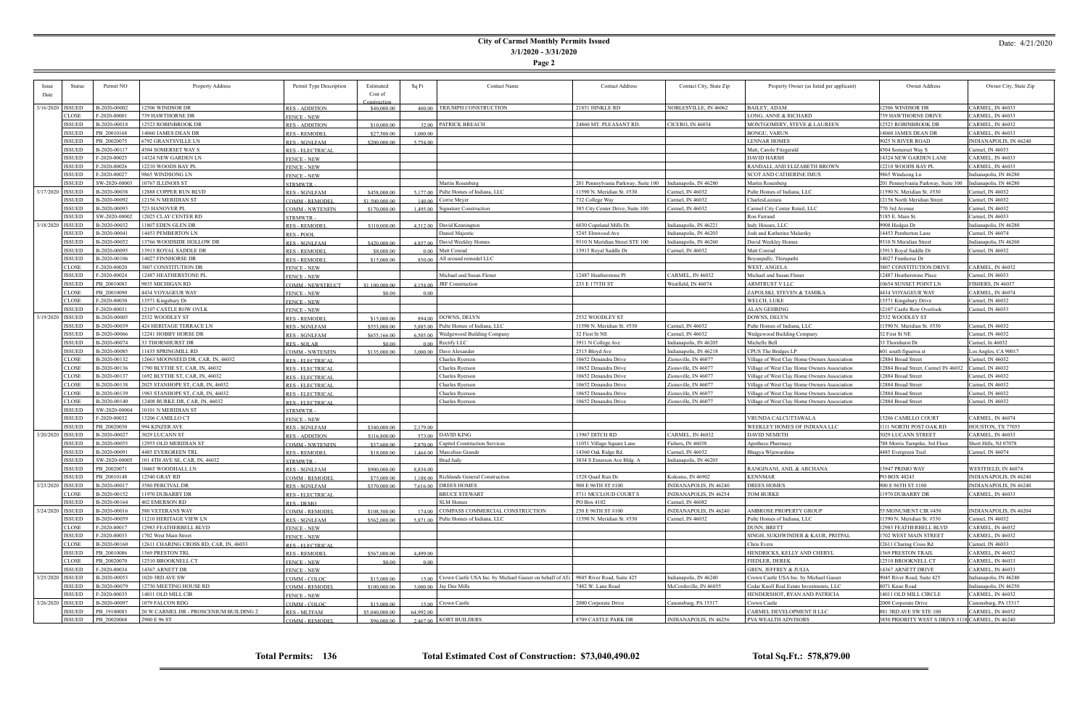### **City of Carmel Monthly Permits Issued 3/1/2020 - 3/31/2020**

**Page 2**

| Issue              | <b>Status</b> | Permit NO     | Property Address                       | Permit Type Description | Estimated      | Sq Ft     | <b>Contact Name</b>                                            | <b>Contact Address</b>              | Contact City, State Zip | Property Owner (as listed per applicant)     | Owner Address                                    | Owner City, State Zip   |
|--------------------|---------------|---------------|----------------------------------------|-------------------------|----------------|-----------|----------------------------------------------------------------|-------------------------------------|-------------------------|----------------------------------------------|--------------------------------------------------|-------------------------|
| Date               |               |               |                                        |                         | Cost of        |           |                                                                |                                     |                         |                                              |                                                  |                         |
|                    |               |               |                                        |                         | Construction   |           |                                                                |                                     |                         |                                              |                                                  |                         |
| 3/16/2020   ISSUED |               | B-2020-00002  | 12506 WINDSOR DR                       | <b>RES - ADDITION</b>   | \$40,000.00    |           | 400.00 TRIUMPH CONSTRUCTION                                    | 21851 HINKLE RD                     | NOBLESVILLE, IN 46062   | <b>BAILEY, ADAM</b>                          | 12506 WINDSOR DR                                 | CARMEL, IN 46033        |
|                    | CLOSE         | F-2020-00001  | 739 HAWTHORNE DR                       | <b>FENCE - NEW</b>      |                |           |                                                                |                                     |                         | LONG, ANNE & RICHARD                         | 739 HAWTHORNE DRIVE                              | ARMEL, IN 46033:        |
|                    | ISSUED        | B-2020-00018  | 12523 ROBINBROOK DR                    | <b>RES - ADDITION</b>   | \$10,000.00    |           | 32.00 PATRICK BREACH                                           | 24860 MT. PLEASANT RD.              | <b>CICERO, IN 46034</b> | MONTGOMERY, STEVE & LAUREEN                  | 12523 ROBINBROOK DR                              | ARMEL, IN 46032         |
|                    | ISSUED        | PB 20010168   | 14060 JAMES DEAN DR                    | <b>RES - REMODEI</b>    | \$27,500.00    | 1,000.00  |                                                                |                                     |                         | BONGU, VARUN                                 | 14060 JAMES DEAN DR                              | ARMEL, IN 46033:        |
|                    | ISSUED        | PB 20020075   | 6792 GRANTSVILLE LN                    | <b>RES - SGNLFAM</b>    | \$200,000.00   | 5,754.00  |                                                                |                                     |                         | <b>LENNAR HOMES</b>                          | 9025 N RIVER ROAD                                | INDIANAPOLIS, IN 46240  |
|                    | ISSUED        | B-2020-00117  | 4504 SOMERSET WAY S                    | <b>RES - ELECTRICAL</b> |                |           |                                                                |                                     |                         | Matt, Carole Fitzgerald                      | 4504 Somerset Way S                              | Carmel, IN 46033        |
|                    | ISSUED        | F-2020-00025  | 14324 NEW GARDEN LN                    | <b>FENCE - NEW</b>      |                |           |                                                                |                                     |                         | <b>DAVID HARSH</b>                           | 14324 NEW GARDEN LANE                            | CARMEL, IN 46033        |
|                    | <b>ISSUED</b> | F-2020-00026  | 12210 WOODS BAY PL                     | <b>FENCE - NEW</b>      |                |           |                                                                |                                     |                         | RANDALL AND ELIZABETH BROWN                  | 12210 WOODS BAY PL                               | ARMEL, IN 46033         |
|                    | ISSUED        | F-2020-00027  | 9865 WINDSONG LN                       | <b>FENCE - NEW</b>      |                |           |                                                                |                                     |                         | SCOT AND CATHERINE IMUS                      | 9865 Windsong Ln                                 | Indianapolis, IN 46280  |
|                    | ISSUED        | SW-2020-00003 | 10767 ILLINOIS ST                      | <b>STRMWTR</b>          |                |           | Martin Rosenberg                                               | 201 Pennsylvania Parkway, Suite 100 | Indianapolis, IN 46280  | Martin Rosenberg                             | [201 Pennsylvania Parkway, Suite 100             | Indianapolis, IN 46280  |
| 3/17/2020   ISSUED |               | B-2020-00038  | 12888 COPPER RUN BLVD                  | <b>RES - SGNLFAM</b>    | \$458,000.00   | 5 177 00  | Pulte Homes of Indiana, LLC                                    | 11590 N. Meridian St. #530          | Carmel, IN 46032        | Pulte Homes of Indiana, LLC                  | 11590 N. Meridian St. #530                       | armel, IN 46032         |
|                    | ISSUED        | B-2020-00092  | 12156 N MERIDIAN ST                    | <b>COMM - REMODEL</b>   | \$1,500,000.00 | 140.00    | Corrie Meyer                                                   | 732 College Way                     | Carmel, IN 46032        | CharlesLazzara                               | 12156 North Meridian Street                      | Carmel, IN 46032        |
|                    | <b>ISSUED</b> | B-2020-00093  | 723 HANOVER PL                         | <b>COMM - NWTENFIN</b>  | \$170,000.00   |           | 1,495.00 Signature Construction                                | 385 City Center Drive, Suite 100    | Carmel, IN 46032        | Carmel City Center Retail, LLC               | 770 3rd Avenue                                   | Carmel, IN 46032        |
|                    | <b>ISSUED</b> | SW-2020-00002 | 12025 CLAY CENTER RD                   | <b>STRMWTR</b>          |                |           |                                                                |                                     |                         | Ron Farrand                                  | 5185 E. Main St.                                 | Carmel, IN 46033        |
| 3/18/2020   ISSUED |               | B-2020-00032  | 11807 EDEN GLEN DR                     | <b>RES - REMODEI</b>    | \$110,000.00   |           | 4,312.00   David Kennington                                    | 6030 Copeland Mills Dr.             | Indianapolis, IN 46221  | Indy Houses, LLC                             | 9908 Hodges Dr                                   | indianapolis, IN 46280  |
|                    | ISSUED        | B-2020-00041  | 14453 PEMBERTON LN                     | <b>RES-POOI</b>         |                |           | Daniel Majestic                                                | 5245 Elmwood Ave                    | Indianapolis, IN 46203  | Josh and Katherine Malarsky                  | 4453 Pemberton Lane                              | Carmel, IN 46074        |
|                    | ISSUED        | B-2020-00052  | 13766 WOODSIDE HOLLOW DR               | <b>RES - SGNLFAM</b>    | \$420,000.00   |           | 4.857.00 David Weekley Homes                                   | 9310 N Meridian Street STE 100      | Indianapolis, IN 46260  | David Weekley Homes                          | 9310 N Meridian Street                           | Indianapolis, IN 46260  |
|                    | ISSUED        | B-2020-00095  | 13913 ROYAL SADDLE DR                  | <b>RES-REMODE</b>       | \$8,000.00     | 0.00      | Matt Conrad                                                    | 13913 Royal Saddle Dr               | Carmel, IN 46032        | Matt Conrad                                  | 13913 Royal Saddle Dr                            | Carmel, IN 46032        |
|                    | <b>ISSUED</b> | B-2020-00106  | 14027 FINNHORSE DR                     | <b>RES-REMODEI</b>      | \$15,000.00    |           | 850.00   All around remodel LLC                                |                                     |                         | Boyanpally, Thirupath                        | 14027 Finnhorse Dr                               |                         |
|                    | <b>CLOSE</b>  | F-2020-00020  | 3807 CONSTITUTION DR                   | <b>FENCE - NEW</b>      |                |           |                                                                |                                     |                         | WEST, ANGELA                                 | 3807 CONSTITUTION DRIVE                          | ARMEL, IN 46032         |
|                    | ISSUED        | F-2020-00024  | 12487 HEATHERSTONE PL                  | <b>FENCE - NEW</b>      |                |           | Michael and Susan Flener                                       | 12487 Heatherstone Pl               | CARMEL, IN 46032        | Michael and Susan Flener                     | 12487 Heatherstone Place                         | Carmel, IN 46033        |
|                    | ISSUED        | PB 20010083   | 9835 MICHIGAN RD                       | <b>COMM - NEWSTRUCT</b> | \$1,100,000.00 |           | 4.154.00 JRF Construction                                      | 233 E 175TH ST                      | Westfield, IN 46074     | <b>ARMTRUST V LLC</b>                        | 10654 SUNSET POINT LN                            | FISHERS, IN 46037       |
|                    | <b>CLOSE</b>  | PB 20010090   | 4434 VOYAGEUR WAY                      | <b>FENCE - NEW</b>      | \$0.00         | 0.00      |                                                                |                                     |                         | ZAPOLSKI, STEVEN & TAMIKA                    | 4434 VOYAGEUR WAY                                | ARMEL, IN 46074         |
|                    | <b>CLOSE</b>  | F-2020-00030  | 13571 Kingsbury Dr                     | <b>FENCE - NEW</b>      |                |           |                                                                |                                     |                         | WELCH, LUKE                                  | 13571 Kingsbury Drive                            | Carmel, IN 46032        |
|                    | <b>ISSUED</b> | F-2020-00031  | 12107 CASTLE ROW OVLK                  | <b>FENCE - NEW</b>      |                |           |                                                                |                                     |                         | ALAN GEHRING                                 | 12107 Castle Row Overlook                        | Carmel, IN 46033        |
| 3/19/2020   ISSUED |               | B-2020-00005  | 2532 WOODLEY ST                        | <b>RES - REMODEI</b>    | \$15,000.00    |           | $894.00$ DOWNS, DELYN                                          | 2532 WOODLEY ST                     |                         | DOWNS, DELYN                                 | 2532 WOODLEY ST                                  |                         |
|                    | ISSUED        | B-2020-00039  | 424 HERITAGE TERRACE LN                | <b>RES - SGNLFAM</b>    | \$553,000.00   |           | 5.885.00 Pulte Homes of Indiana, LLC                           | 11590 N. Meridian St. #530          | Carmel, IN 46032        | Pulte Homes of Indiana, LLC                  | 11590 N. Meridian St. #530                       | Carmel, IN 46032        |
|                    | ISSUED        | B-2020-00066  | 12241 HOBBY HORSE DR                   | <b>RES - SGNLFAM</b>    | \$655,166.00   |           | 6,505.00   Wedgewood Building Company                          | 32 First St NE                      | Carmel, IN 46032        | Wedgewood Building Company                   | 32 First St NE                                   | armel, IN 46032         |
|                    | ISSUED        | B-2020-00074  | 33 THORNHURST DR                       | <b>RES-SOLAR</b>        | \$0.00         |           | $0.00$ Rectify LLC                                             | 3911 N College Ave                  | Indianapolis, IN 46205  | Michelle Bell                                | 33 Thornhurst Dr                                 | Carmel, In 46032        |
|                    | ISSUED        | B-2020-00085  | 11435 SPRINGMILL RD                    | <b>COMM - NWTENFIN</b>  | \$135,000.00   |           | $3.000.00$ Dave Alexander                                      | 2515 Bloyd Ave                      | Indianapolis, IN 46218  | CPUS The Bridges LP                          | 601 south figueroa st                            | os Angles, CA 90017     |
|                    | <b>CLOSE</b>  | B-2020-00132  | 12663 MOONSEED DR, CAR, IN, 46032      | <b>RES - ELECTRICAL</b> |                |           | Charles Ryerson                                                | 10652 Denandra Drive                | Zionsville, IN 46077    | Village of West Clay Home Owners Association | 12884 Broad Street                               | Carmel, IN 46032        |
|                    | <b>CLOSE</b>  | B-2020-00136  | 1790 BLYTHE ST, CAR, IN, 46032         | RES - ELECTRICAL        |                |           | Charles Ryerson                                                | 10652 Denandra Drive                | Zionsville, IN 46077    | Village of West Clay Home Owners Association | 12884 Broad Street, Carmel IN 46032              | Carmel, IN 46032        |
|                    | <b>CLOSE</b>  | B-2020-00137  | 1692 BLYTHE ST, CAR, IN, 46032         | RES - ELECTRICAL        |                |           | Charles Ryerson                                                | 10652 Denandra Drive                | Zionsville, IN 46077    | Village of West Clay Home Owners Association | 2884 Broad Street                                | armel, IN 46032         |
|                    | <b>CLOSE</b>  | B-2020-00138  | 2025 STANHOPE ST, CAR, IN, 46032       | <b>RES - ELECTRICAL</b> |                |           | Charles Ryerson                                                | 10652 Denandra Drive                | Zionsville, IN 46077    | Village of West Clay Home Owners Association | 12884 Broad Street                               | Carmel, IN 46032        |
|                    | <b>CLOSE</b>  | B-2020-00139  | 1983 STANHOPE ST, CAR, IN, 46032       | <b>RES - ELECTRICAL</b> |                |           | Charles Ryerson                                                | 10652 Denandra Drive                | Zionsville, IN 46077    | Village of West Clay Home Owners Association | 12884 Broad Street                               | Carmel, IN 46032        |
|                    | <b>CLOSE</b>  | B-2020-00140  | 12408 BURKE DR, CAR, IN, 46032         | <b>RES - ELECTRICAL</b> |                |           | Charles Ryerson                                                | 10652 Denandra Drive                | Zionsville, IN 46077    | Village of West Clay Home Owners Association | 12884 Broad Street                               | Carmel, IN 46032        |
|                    | <b>ISSUED</b> | SW-2020-00004 | 10101 N MERIDIAN ST                    | <b>STRMWTR</b>          |                |           |                                                                |                                     |                         |                                              |                                                  |                         |
|                    | ISSUED        | F-2020-00032  | 13206 CAMILLO CT                       | <b>FENCE - NEW</b>      |                |           |                                                                |                                     |                         | VRUNDA CALCUTTAWALA                          | 13206 CAMILLO COURT                              | CARMEL, IN 46074        |
|                    | <b>ISSUED</b> | PB 20020030   | 994 KINZER AVE                         | <b>RES - SGNLFAM</b>    | \$340,000.00   | 2,179.00  |                                                                |                                     |                         | WEEKLEY HOMES OF INDIANA LLC                 | 1111 NORTH POST OAK RD                           | HOUSTON, TX 77055       |
| 3/20/2020   ISSUED |               | B-2020-00027  | 3029 LUCANN ST                         | <b>RES - ADDITION</b>   | \$116,800.00   |           | 573.00 DAVID KING                                              | 13967 DITCH RD                      | CARMEL, IN 46032        | DAVID NEMETH                                 | 3029 LUCANN STREET                               | <b>CARMEL, IN 46033</b> |
|                    | ISSUED        | B-2020-00055  | 12955 OLD MERIDIAN ST                  | <b>COMM - NWTENFIN</b>  | \$37,600.00    | 2.870.00  | Capitol Construction Services                                  | 11051 Village Square Lane           | Fishers, IN 46038       | Apotheco Pharmacy                            | 788 Morris Turnpike, 3rd Floor                   | Short Hills, NJ 07078   |
|                    | ISSUED        | B-2020-00091  | 4485 EVERGREEN TRL                     | <b>RES - REMODEI</b>    | \$18,000.00    |           | 1,464.00   Marcelino Grande                                    | 14360 Oak Ridge Rd.                 | Carmel, IN 46032        | Bhagya Wijewardena                           | 4485 Evergreen Trail                             | Carmel, IN 46074        |
|                    | ISSUED        | SW-2020-00005 | 101 4TH AVE SE, CAR, IN, 46032         | <b>STRMWTR</b>          |                |           | Brad Judy                                                      | 3834 S Emerson Ave Bldg. A          | Indianapolis, IN 46203  |                                              |                                                  |                         |
|                    | ISSUED        | PB 20020071   | 10465 WOODHALL LN                      | <b>RES - SGNLFAM</b>    | \$900,000.00   | 8.834.00  |                                                                |                                     |                         | RANGINANI, ANIL & ARCHANA                    | 13947 PRIMO WAY                                  | WESTFIELD, IN 46074     |
|                    | <b>ISSUED</b> | PB 20010148   | 12540 GRAY RD                          | COMM - REMODEL          | \$75,000.00    |           | 1.188.00 Richlands General Construction                        | 1528 Quail Run Dr.                  | Kokomo, IN 46902        | <b>KENNMAR</b>                               | PO BOX 40243                                     | INDIANAPOLIS, IN 46240  |
| 3/23/2020 ISSUED   |               | B-2020-00017  | 3580 PERCIVAL DR                       | <b>RES - SGNLFAM</b>    | \$370,000.00   |           | $7.616.00$ DREES HOMES                                         | 900 E 96TH ST #100                  | INDIANAPOLIS, IN 46240  | <b>DREES HOMES</b>                           | 900 E 96TH ST #100                               | INDIANAPOLIS, IN 46240  |
|                    | CLOSE         | B-2020-00152  | 11970 DUBARRY DR                       | RES - ELECTRICAL        |                |           | <b>BRUCE STEWART</b>                                           | 5711 MCCLOUD COURT S                | INDIANAPOLIS, IN 46254  | <b>TOM BURKE</b>                             | 11970 DUBARRY DR                                 | CARMEL, IN 46033        |
|                    | <b>ISSUED</b> | B-2020-00164  | 402 EMERSON RD                         | RES - DEMO              |                |           | <b>SLM Homes</b>                                               | PO Box 4102                         | Carmel, IN 46082        |                                              |                                                  |                         |
| $3/24/2020$ ISSUED |               | B-2020-00016  | 580 VETERANS WAY                       | COMM - REMODEL          | \$108,500.00   | 174.00    | COMPASS COMMERCIAL CONSTRUCTION                                | 250 E 96TH ST #100                  | INDIANAPOLIS, IN 46240  | AMBROSE PROPERTY GROUP                       | 55 MONUMENT CIR #450                             | INDIANAPOLIS, IN 46204  |
|                    | ISSUED        | B-2020-00059  | 11210 HERITAGE VIEW LN                 | <b>RES-SGNLFAM</b>      | \$562,000.00   |           | $5.871.00$ Pulte Homes of Indiana, LLC                         | 1590 N. Meridian St. #530           | Carmel, IN 46032        | Pulte Homes of Indiana, LLC                  | 11590 N. Meridian St. #530                       | Carmel, IN 46032        |
|                    | <b>CLOSE</b>  | F-2020-00017  | 12983 FEATHERBELL BLVD                 | <b>FENCE - NEW</b>      |                |           |                                                                |                                     |                         | DUNN, BRETT                                  | 12983 FEATHERBELL BLVD                           | CARMEL, IN 46032        |
|                    | <b>ISSUED</b> | F-2020-00033  | 1702 West Main Street                  | <b>FENCE - NEW</b>      |                |           |                                                                |                                     |                         | SINGH, SUKHWINDER & KAUR, PRITPAL            | 1702 WEST MAIN STREET                            | CARMEL, IN 46032        |
|                    | <b>CLOSE</b>  | B-2020-00160  | 12611 CHARING CROSS RD, CAR, IN, 46033 | <b>RES - ELECTRICAL</b> |                |           |                                                                |                                     |                         | Chris Evers                                  | 12611 Charing Cross Rd                           | Carmel, IN 46033        |
|                    | <b>ISSUED</b> | PB 20010086   | 1569 PRESTON TRL                       | <b>RES - REMODEL</b>    | \$567,000.00   | 4,499.00  |                                                                |                                     |                         | HENDRICKS, KELLY AND CHERYL                  | 1569 PRESTON TRAIL                               | CARMEL, IN 46032        |
|                    | <b>CLOSE</b>  | PB 20020070   | 12510 BROOKNELL CT                     | <b>FENCE - NEW</b>      | \$0.00         | 0.00      |                                                                |                                     |                         | FIEDLER, DEREK                               | 12510 BROOKNELL CT                               | CARMEL, IN 46033        |
|                    | <b>ISSUED</b> | F-2020-00034  | 14367 ARNETT DR                        | <b>FENCE - NEW</b>      |                |           |                                                                |                                     |                         | GREN, JEFFREY & JULIA                        | 14367 ARNETT DRIVE                               | <b>CARMEL, IN 46033</b> |
| 3/25/2020 ISSUED   |               | B-2020-00053  | 1020 3RD AVE SW                        | COMM - COLOC            | \$15,000.00    |           | 15.00 Crown Castle USA Inc. by Michael Gasser on behalf of AT. | 9045 River Road, Suite 425          | Indianapolis, IN 46240  | Crown Castle USA Inc. by Michael Gasser      | 9045 River Road, Suite 425                       | Indianapolis, IN 46240  |
|                    | ISSUED        | B-2020-00079  | 12730 MEETING HOUSE RD                 | <b>COMM - REMODEL</b>   | \$100,000,00   |           | $300000$ Jay Dee Mills                                         | 7482 W. Lane Road                   | McCordsville, IN 46055  | Cedar Knoll Real Estate Investments, LLC     | 8071 Knue Road                                   | Indianapolis, IN 46250  |
|                    | ISSUED        | F-2020-00035  | 14011 OLD MILL CIR                     | <b>FENCE - NEW</b>      |                |           |                                                                |                                     |                         | HENDERSHOT, RYAN AND PATRICIA                | 14011 OLD MILL CIRCLE                            | CARMEL, IN 46032        |
| 3/26/2020 ISSUED   |               | B-2020-00097  | 1079 FALCON RDG                        | COMM - COLOC            | \$15,000.00    |           | $15.00$ Crown Castle                                           | 2000 Corporate Drive                | Canonsburg, PA 15317    | Crown Castle                                 | 2000 Corporate Drive                             | Canonsburg, PA 15317    |
|                    | ISSUED        | PB 19100083   | 20 W CARMEL DR - PROSCENIUM BUILDING 2 | <b>RES-MLTFAM</b>       | \$5,040,000.00 | 64,992.00 |                                                                |                                     |                         | CARMEL DEVELOPMENT II LLC                    | 881 3RD AVE SW STE 100                           | CARMEL, IN 46032        |
|                    | <b>ISSUED</b> | PB 20020068   | 2900 E 96 ST                           | <b>COMM - REMODEL</b>   | \$96,000.00    |           | $2.467.00$ KORT BUILDERS                                       | 8709 CASTLE PARK DR                 | INDIANAPOLIS, IN 46256  | PVA WEALTH ADVISORS                          | 3850 PRIORITY WEST S DRIVE #118 CARMEL, IN 46240 |                         |

**Total Permits: 136 Total Estimated Cost of Construction: \$73,040,490.02 Total Sq.Ft.: 578,879.00**